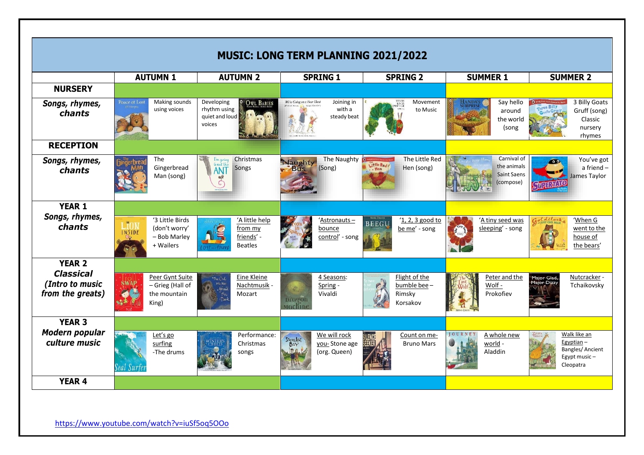| <b>MUSIC: LONG TERM PLANNING 2021/2022</b>              |                                                               |                                                                             |                                                                   |                                                    |                                                               |                                                                                     |
|---------------------------------------------------------|---------------------------------------------------------------|-----------------------------------------------------------------------------|-------------------------------------------------------------------|----------------------------------------------------|---------------------------------------------------------------|-------------------------------------------------------------------------------------|
|                                                         | <b>AUTUMN1</b>                                                | <b>AUTUMN 2</b>                                                             | <b>SPRING 1</b>                                                   | <b>SPRING 2</b>                                    | <b>SUMMER 1</b>                                               | <b>SUMMER 2</b>                                                                     |
| <b>NURSERY</b>                                          |                                                               |                                                                             |                                                                   |                                                    |                                                               |                                                                                     |
| Songs, rhymes,<br>chants                                | Making sounds<br>Peace at Last<br>using voices                | Developing<br><b>OWL BABIES</b><br>rhythm using<br>quiet and loud<br>voices | Joining in<br>We're Going on a Bear Hunt<br>with a<br>steady beat | Movement<br>to Music                               | Say hello<br>around<br>the world<br>(song                     | 3 Billy Goats<br>Gruff (song)<br>Classic<br>nursery<br>rhymes                       |
| <b>RECEPTION</b>                                        |                                                               |                                                                             |                                                                   |                                                    |                                                               |                                                                                     |
| Songs, rhymes,<br>chants                                | The<br>Gingerbread<br>Man (song)                              | Christmas<br>I'm going<br>to eat this<br>Songs<br><b>ANT</b>                | The Naughty<br>Naughty<br>(Song)<br><b>Bits</b>                   | The Little Red<br>Little Red<br>Hen (song)         | Carnival of<br>the animals<br><b>Saint Saens</b><br>(compose) | You've got<br>$\bullet$<br>a friend-<br>James Taylor<br>UHRANO                      |
| <b>YEAR 1</b>                                           |                                                               |                                                                             |                                                                   |                                                    |                                                               |                                                                                     |
| Songs, rhymes,<br>chants                                | '3 Little Birds<br>(don't worry'<br>- Bob Marley<br>+ Wailers | 'A little help<br>from my<br>friends' -<br><b>Beatles</b>                   | 'Astronauts-<br>bounce<br>control' - song                         | '1, 2, 3 good to<br><b>BEEGU</b><br>be me' - song  | 'A tiny seed was<br>sleeping' - song                          | <i><u>Latilock</u></i><br>'When G<br>went to the<br>house of<br>the bears'          |
| <b>YEAR 2</b>                                           |                                                               |                                                                             |                                                                   |                                                    |                                                               |                                                                                     |
| <b>Classical</b><br>(Intro to music<br>from the greats) | Peer Gynt Suite<br>- Grieg (Hall of<br>the mountain<br>King)  | Eine Kleine<br>The Onl<br>Nachtmusik -<br>Mozart                            | 4 Seasons:<br>Spring -<br>Vivaldi<br><b>Dragon</b><br>Machine     | Flight of the<br>bumble bee-<br>Rimsky<br>Korsakov | Peter and the<br>Wolf -<br>Prokofiev                          | Nutcracker -<br>Major Glad,<br>or Dizzy<br>Tchaikovsky                              |
| <b>YEAR 3</b>                                           |                                                               |                                                                             |                                                                   |                                                    |                                                               |                                                                                     |
| Modern popular<br>culture music                         | Let's go<br>surfing<br>-The drums<br>eal Surte                | Performance:<br>Christmas<br>songs                                          | We will rock<br>STONE AGE<br>you-Stone age<br>(org. Queen)        | Count on me-<br><b>Bruno Mars</b>                  | <b>IOUR</b><br>A whole new<br>world -<br>Aladdin              | Walk like an<br>Egyptian $-$<br><b>Bangles/Ancient</b><br>Egypt music-<br>Cleopatra |
| <b>YEAR 4</b>                                           |                                                               |                                                                             |                                                                   |                                                    |                                                               |                                                                                     |